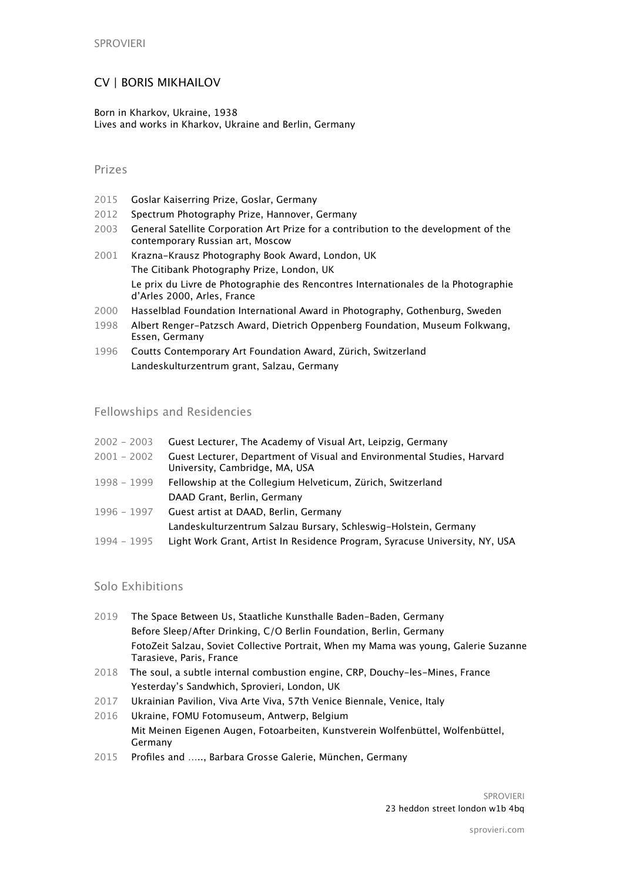# CV | BORIS MIKHAILOV

Born in Kharkov, Ukraine, 1938 Lives and works in Kharkov, Ukraine and Berlin, Germany

## Prizes

- 2015 Goslar Kaiserring Prize, Goslar, Germany
- 2012 Spectrum Photography Prize, Hannover, Germany
- 2003 General Satellite Corporation Art Prize for a contribution to the development of the contemporary Russian art, Moscow
- 2001 Krazna-Krausz Photography Book Award, London, UK The Citibank Photography Prize, London, UK Le prix du Livre de Photographie des Rencontres Internationales de la Photographie d'Arles 2000, Arles, France
- 2000 Hasselblad Foundation International Award in Photography, Gothenburg, Sweden
- 1998 Albert Renger-Patzsch Award, Dietrich Oppenberg Foundation, Museum Folkwang, Essen, Germany
- 1996 Coutts Contemporary Art Foundation Award, Zürich, Switzerland Landeskulturzentrum grant, Salzau, Germany

## Fellowships and Residencies

| $2002 - 2003$ | Guest Lecturer, The Academy of Visual Art, Leipzig, Germany                                               |
|---------------|-----------------------------------------------------------------------------------------------------------|
| $2001 - 2002$ | Guest Lecturer, Department of Visual and Environmental Studies, Harvard<br>University, Cambridge, MA, USA |
| 1998 - 1999   | Fellowship at the Collegium Helveticum, Zürich, Switzerland                                               |
|               | DAAD Grant, Berlin, Germany                                                                               |
| 1996 - 1997   | Guest artist at DAAD, Berlin, Germany                                                                     |
|               | Landeskulturzentrum Salzau Bursary, Schleswig-Holstein, Germany                                           |
| $1994 - 1995$ | Light Work Grant, Artist In Residence Program, Syracuse University, NY, USA                               |
|               |                                                                                                           |

#### Solo Exhibitions

- 2019 The Space Between Us, Staatliche Kunsthalle Baden-Baden, Germany Before Sleep/After Drinking, C/O Berlin Foundation, Berlin, Germany FotoZeit Salzau, Soviet Collective Portrait, When my Mama was young, Galerie Suzanne Tarasieve, Paris, France
- 2018 The soul, a subtle internal combustion engine, CRP, Douchy-les-Mines, France Yesterday's Sandwhich, Sprovieri, London, UK
- 2017 Ukrainian Pavilion, Viva Arte Viva, 57th Venice Biennale, Venice, Italy
- 2016 Ukraine, FOMU Fotomuseum, Antwerp, Belgium Mit Meinen Eigenen Augen, Fotoarbeiten, Kunstverein Wolfenbüttel, Wolfenbüttel, Germany
- 2015 Profiles and ….., Barbara Grosse Galerie, München, Germany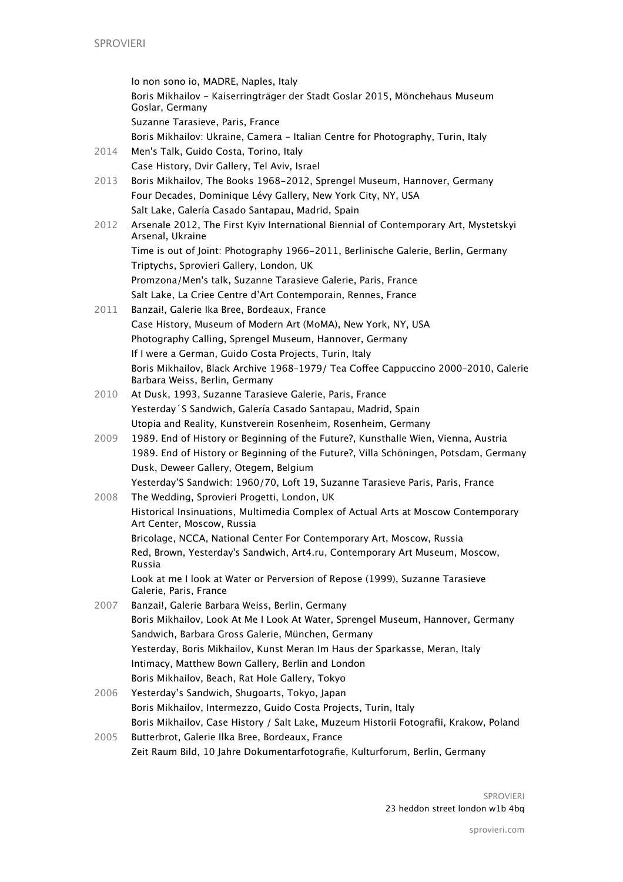Io non sono io, MADRE, Naples, Italy Boris Mikhailov - Kaiserringträger der Stadt Goslar 2015, Mönchehaus Museum Goslar, Germany Suzanne Tarasieve, Paris, France Boris Mikhailov: Ukraine, Camera - Italian Centre for Photography, Turin, Italy 2014 Men's Talk, Guido Costa, Torino, Italy Case History, Dvir Gallery, Tel Aviv, Israel 2013 Boris Mikhailov, The Books 1968-2012, Sprengel Museum, Hannover, Germany Four Decades, Dominique Lévy Gallery, New York City, NY, USA Salt Lake, Galería Casado Santapau, Madrid, Spain 2012 Arsenale 2012, The First Kyiv International Biennial of Contemporary Art, Mystetskyi Arsenal, Ukraine Time is out of Joint: Photography 1966-2011, Berlinische Galerie, Berlin, Germany Triptychs, Sprovieri Gallery, London, UK Promzona/Men's talk, Suzanne Tarasieve Galerie, Paris, France Salt Lake, La Criee Centre d'Art Contemporain, Rennes, France 2011 Banzai!, Galerie Ika Bree, Bordeaux, France Case History, Museum of Modern Art (MoMA), New York, NY, USA Photography Calling, Sprengel Museum, Hannover, Germany If I were a German, Guido Costa Projects, Turin, Italy Boris Mikhailov, Black Archive 1968–1979/ Tea Cofee Cappuccino 2000–2010, Galerie Barbara Weiss, Berlin, Germany 2010 At Dusk, 1993, Suzanne Tarasieve Galerie, Paris, France Yesterday´S Sandwich, Galería Casado Santapau, Madrid, Spain Utopia and Reality, Kunstverein Rosenheim, Rosenheim, Germany 2009 1989. End of History or Beginning of the Future?, Kunsthalle Wien, Vienna, Austria 1989. End of History or Beginning of the Future?, Villa Schöningen, Potsdam, Germany Dusk, Deweer Gallery, Otegem, Belgium Yesterday'S Sandwich: 1960/70, Loft 19, Suzanne Tarasieve Paris, Paris, France 2008 The Wedding, Sprovieri Progetti, London, UK Historical Insinuations, Multimedia Complex of Actual Arts at Moscow Contemporary Art Center, Moscow, Russia Bricolage, NCCA, National Center For Contemporary Art, Moscow, Russia Red, Brown, Yesterday's Sandwich, Art4.ru, Contemporary Art Museum, Moscow, Russia Look at me I look at Water or Perversion of Repose (1999), Suzanne Tarasieve Galerie, Paris, France 2007 Banzai!, Galerie Barbara Weiss, Berlin, Germany Boris Mikhailov, Look At Me I Look At Water, Sprengel Museum, Hannover, Germany Sandwich, Barbara Gross Galerie, München, Germany Yesterday, Boris Mikhailov, Kunst Meran Im Haus der Sparkasse, Meran, Italy Intimacy, Matthew Bown Gallery, Berlin and London Boris Mikhailov, Beach, Rat Hole Gallery, Tokyo 2006 Yesterday's Sandwich, Shugoarts, Tokyo, Japan Boris Mikhailov, Intermezzo, Guido Costa Projects, Turin, Italy Boris Mikhailov, Case History / Salt Lake, Muzeum Historii Fotografii, Krakow, Poland 2005 Butterbrot, Galerie Ilka Bree, Bordeaux, France

Zeit Raum Bild, 10 Jahre Dokumentarfotografie, Kulturforum, Berlin, Germany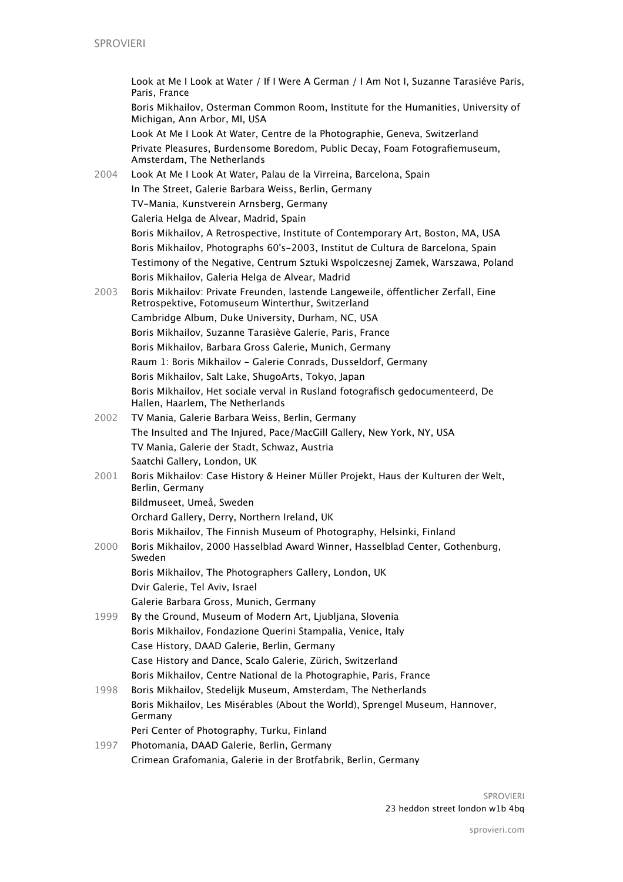Look at Me I Look at Water / If I Were A German / I Am Not I, Suzanne Tarasiéve Paris, Paris, France Boris Mikhailov, Osterman Common Room, Institute for the Humanities, University of Michigan, Ann Arbor, MI, USA Look At Me I Look At Water, Centre de la Photographie, Geneva, Switzerland Private Pleasures, Burdensome Boredom, Public Decay, Foam Fotografiemuseum, Amsterdam, The Netherlands 2004 Look At Me I Look At Water, Palau de la Virreina, Barcelona, Spain In The Street, Galerie Barbara Weiss, Berlin, Germany TV-Mania, Kunstverein Arnsberg, Germany Galeria Helga de Alvear, Madrid, Spain Boris Mikhailov, A Retrospective, Institute of Contemporary Art, Boston, MA, USA Boris Mikhailov, Photographs 60's-2003, Institut de Cultura de Barcelona, Spain Testimony of the Negative, Centrum Sztuki Wspolczesnej Zamek, Warszawa, Poland Boris Mikhailov, Galeria Helga de Alvear, Madrid 2003 Boris Mikhailov: Private Freunden, lastende Langeweile, öfentlicher Zerfall, Eine Retrospektive, Fotomuseum Winterthur, Switzerland Cambridge Album, Duke University, Durham, NC, USA Boris Mikhailov, Suzanne Tarasiève Galerie, Paris, France Boris Mikhailov, Barbara Gross Galerie, Munich, Germany Raum 1: Boris Mikhailov - [Galerie Conrads,](http://www.artfacts.net/en/institution/galerie-conrads-47/overview.html) Dusseldorf, Germany Boris Mikhailov, Salt Lake, ShugoArts, Tokyo, Japan Boris Mikhailov, Het sociale verval in Rusland fotografisch gedocumenteerd, De Hallen, Haarlem, The Netherlands 2002 TV Mania, Galerie Barbara Weiss, Berlin, Germany The Insulted and The Injured, Pace/MacGill Gallery, New York, NY, USA TV Mania, Galerie der Stadt, Schwaz, Austria Saatchi Gallery, London, UK 2001 Boris Mikhailov: Case History & Heiner Müller Projekt, Haus der Kulturen der Welt, Berlin, Germany Bildmuseet, Umeå, Sweden Orchard Gallery, Derry, Northern Ireland, UK Boris Mikhailov, The Finnish Museum of Photography, Helsinki, Finland 2000 Boris Mikhailov, 2000 Hasselblad Award Winner, Hasselblad Center, Gothenburg, Sweden Boris Mikhailov, The Photographers Gallery, London, UK Dvir Galerie, Tel Aviv, Israel Galerie Barbara Gross, Munich, Germany 1999 By the Ground, Museum of Modern Art, Ljubljana, Slovenia Boris Mikhailov, Fondazione Querini Stampalia, Venice, Italy Case History, DAAD Galerie, Berlin, Germany Case History and Dance, Scalo Galerie, Zürich, Switzerland Boris Mikhailov, Centre National de la Photographie, Paris, France 1998 Boris Mikhailov, Stedelijk Museum, Amsterdam, The Netherlands Boris Mikhailov, Les Misérables (About the World), Sprengel Museum, Hannover, Germany Peri Center of Photography, Turku, Finland 1997 Photomania, DAAD Galerie, Berlin, Germany Crimean Grafomania, Galerie in der Brotfabrik, Berlin, Germany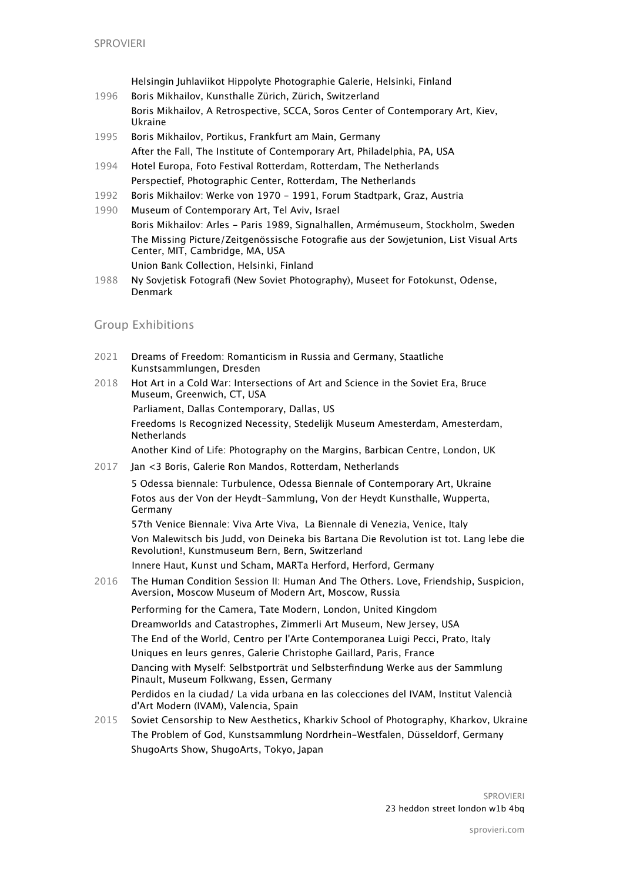Helsingin Juhlaviikot Hippolyte Photographie Galerie, Helsinki, Finland

- 1996 Boris Mikhailov, Kunsthalle Zürich, Zürich, Switzerland Boris Mikhailov, A Retrospective, SCCA, Soros Center of Contemporary Art, Kiev, Ukraine
- 1995 Boris Mikhailov, Portikus, Frankfurt am Main, Germany After the Fall, The Institute of Contemporary Art, Philadelphia, PA, USA
- 1994 Hotel Europa, Foto Festival Rotterdam, Rotterdam, The Netherlands Perspectief, Photographic Center, Rotterdam, The Netherlands
- 1992 Boris Mikhailov: Werke von 1970 1991, Forum Stadtpark, Graz, Austria
- 1990 Museum of Contemporary Art, Tel Aviv, Israel Boris Mikhailov: Arles - Paris 1989, Signalhallen, Armémuseum, Stockholm, Sweden The Missing Picture/Zeitgenössische Fotografie aus der Sowjetunion, List Visual Arts Center, MIT, Cambridge, MA, USA Union Bank Collection, Helsinki, Finland
- 1988 Ny Sovjetisk Fotografi (New Soviet Photography), Museet for Fotokunst, Odense, Denmark

## Group Exhibitions

- 2021 Dreams of Freedom: Romanticism in Russia and Germany, Staatliche Kunstsammlungen, Dresden
- 2018 Hot Art in a Cold War: Intersections of Art and Science in the Soviet Era, Bruce Museum, Greenwich, CT, USA Parliament, Dallas Contemporary, Dallas, US Freedoms Is Recognized Necessity, Stedelijk Museum Amesterdam, Amesterdam, **Netherlands** Another Kind of Life: Photography on the Margins, Barbican Centre, London, UK
- 2017 Jan <3 Boris, Galerie Ron Mandos, Rotterdam, Netherlands

5 Odessa biennale: Turbulence, Odessa Biennale of Contemporary Art, Ukraine Fotos aus der Von der Heydt-Sammlung, Von der Heydt Kunsthalle, Wupperta, Germany

57th Venice Biennale: Viva Arte Viva, La Biennale di Venezia, Venice, Italy Von Malewitsch bis Judd, von Deineka bis Bartana Die Revolution ist tot. Lang lebe die Revolution!, Kunstmuseum Bern, Bern, Switzerland Innere Haut, Kunst und Scham, MARTa Herford, Herford, Germany

2016 The Human Condition Session II: Human And The Others. Love, Friendship, Suspicion, Aversion, Moscow Museum of Modern Art, Moscow, Russia

Performing for the Camera, Tate Modern, London, United Kingdom Dreamworlds and Catastrophes, Zimmerli Art Museum, New Jersey, USA The End of the World, Centro per l'Arte Contemporanea Luigi Pecci, Prato, Italy Uniques en leurs genres, Galerie Christophe Gaillard, Paris, France Dancing with Myself: Selbstporträt und Selbsterfindung Werke aus der Sammlung Pinault, Museum Folkwang, Essen, Germany Perdidos en la ciudad/ La vida urbana en las colecciones del IVAM, Institut Valencià d'Art Modern (IVAM), Valencia, Spain

2015 Soviet Censorship to New Aesthetics, Kharkiv School of Photography, Kharkov, Ukraine The Problem of God, Kunstsammlung Nordrhein-Westfalen, Düsseldorf, Germany ShugoArts Show, ShugoArts, Tokyo, Japan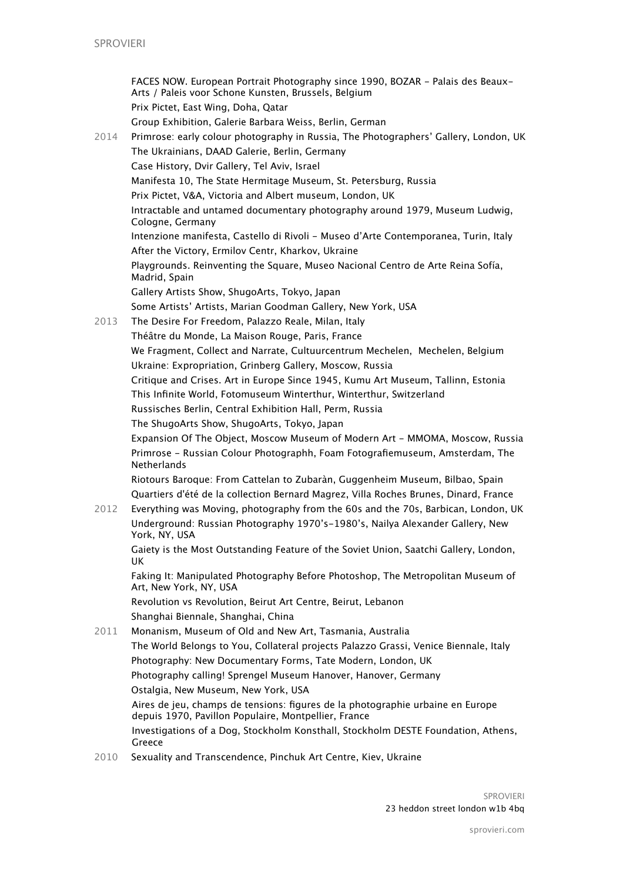FACES NOW. European Portrait Photography since 1990, BOZAR - Palais des Beaux-Arts / Paleis voor Schone Kunsten, Brussels, Belgium Prix Pictet, East Wing, Doha, Qatar Group Exhibition, Galerie Barbara Weiss, Berlin, German 2014 Primrose: early colour photography in Russia, The Photographers' Gallery, London, UK The Ukrainians, DAAD Galerie, Berlin, Germany Case History, Dvir Gallery, Tel Aviv, Israel Manifesta 10, The State Hermitage Museum, St. Petersburg, Russia Prix Pictet, V&A, Victoria and Albert museum, London, UK Intractable and untamed documentary photography around 1979, [Museum Ludwig](http://www.artfacts.net/en/institution/museum-ludwig-344/overview.html), Cologne, Germany Intenzione manifesta, Castello di Rivoli - Museo d'Arte Contemporanea, Turin, Italy After the Victory, Ermilov Centr, Kharkov, Ukraine Playgrounds. Reinventing the Square, Museo Nacional Centro de Arte Reina Sofía, Madrid, Spain Gallery Artists Show, ShugoArts, Tokyo, Japan Some Artists' Artists, Marian Goodman Gallery, New York, USA 2013 The Desire For Freedom, Palazzo Reale, Milan, Italy Théâtre du Monde, La Maison Rouge, Paris, France We Fragment, Collect and Narrate, Cultuurcentrum Mechelen, Mechelen, Belgium Ukraine: Expropriation, Grinberg Gallery, Moscow, Russia Critique and Crises. Art in Europe Since 1945, Kumu Art Museum, Tallinn, Estonia This Infinite World, Fotomuseum Winterthur, Winterthur, Switzerland Russisches Berlin, Central Exhibition Hall, Perm, Russia The ShugoArts Show, ShugoArts, Tokyo, Japan Expansion Of The Object, Moscow Museum of Modern Art - MMOMA, Moscow, Russia Primrose - Russian Colour Photographh, Foam Fotografiemuseum, Amsterdam, The Netherlands Riotours Baroque: From Cattelan to Zubaràn, Guggenheim Museum, Bilbao, Spain Quartiers d'été de la collection Bernard Magrez, Villa Roches Brunes, Dinard, France 2012 Everything was Moving, photography from the 60s and the 70s, Barbican, London, UK Underground: Russian Photography 1970's-1980's, Nailya Alexander Gallery, New York, NY, USA Gaiety is the Most Outstanding Feature of the Soviet Union, Saatchi Gallery, London, UK Faking It: Manipulated Photography Before Photoshop, The Metropolitan Museum of Art, New York, NY, USA Revolution vs Revolution, Beirut Art Centre, Beirut, Lebanon Shanghai Biennale, Shanghai, China 2011 Monanism, Museum of Old and New Art, Tasmania, Australia The World Belongs to You, Collateral projects Palazzo Grassi, Venice Biennale, Italy Photography: New Documentary Forms, Tate Modern, London, UK Photography calling! Sprengel Museum Hanover, Hanover, Germany Ostalgia, New Museum, New York, USA Aires de jeu, champs de tensions: figures de la photographie urbaine en Europe depuis 1970, Pavillon Populaire, Montpellier, France Investigations of a Dog, Stockholm Konsthall, Stockholm DESTE Foundation, Athens, Greece

2010 Sexuality and Transcendence, Pinchuk Art Centre, Kiev, Ukraine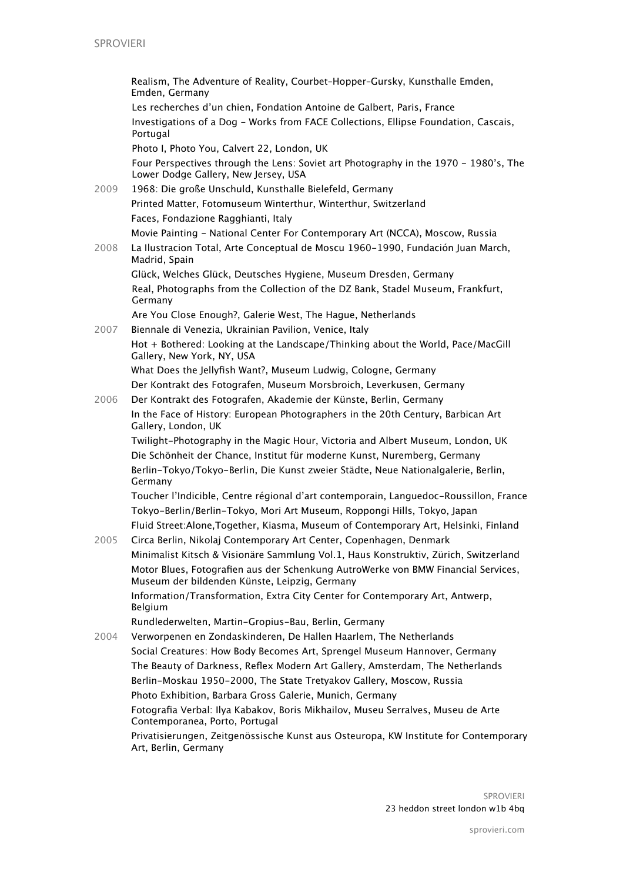|      | Realism, The Adventure of Reality, Courbet-Hopper-Gursky, Kunsthalle Emden,<br>Emden, Germany                                      |
|------|------------------------------------------------------------------------------------------------------------------------------------|
|      | Les recherches d'un chien, Fondation Antoine de Galbert, Paris, France                                                             |
|      | Investigations of a Dog - Works from FACE Collections, Ellipse Foundation, Cascais,<br>Portugal                                    |
|      | Photo I, Photo You, Calvert 22, London, UK                                                                                         |
|      | Four Perspectives through the Lens: Soviet art Photography in the 1970 - 1980's, The<br>Lower Dodge Gallery, New Jersey, USA       |
| 2009 | 1968: Die große Unschuld, Kunsthalle Bielefeld, Germany                                                                            |
|      | Printed Matter, Fotomuseum Winterthur, Winterthur, Switzerland                                                                     |
|      | Faces, Fondazione Ragghianti, Italy                                                                                                |
|      | Movie Painting - National Center For Contemporary Art (NCCA), Moscow, Russia                                                       |
| 2008 | La Ilustracion Total, Arte Conceptual de Moscu 1960-1990, Fundación Juan March,<br>Madrid, Spain                                   |
|      | Glück, Welches Glück, Deutsches Hygiene, Museum Dresden, Germany                                                                   |
|      | Real, Photographs from the Collection of the DZ Bank, Stadel Museum, Frankfurt,<br>Germany                                         |
|      | Are You Close Enough?, Galerie West, The Hague, Netherlands                                                                        |
| 2007 | Biennale di Venezia, Ukrainian Pavilion, Venice, Italy                                                                             |
|      | Hot + Bothered: Looking at the Landscape/Thinking about the World, Pace/MacGill<br>Gallery, New York, NY, USA                      |
|      | What Does the Jellyfish Want?, Museum Ludwig, Cologne, Germany                                                                     |
|      | Der Kontrakt des Fotografen, Museum Morsbroich, Leverkusen, Germany                                                                |
| 2006 | Der Kontrakt des Fotografen, Akademie der Künste, Berlin, Germany                                                                  |
|      | In the Face of History: European Photographers in the 20th Century, Barbican Art<br>Gallery, London, UK                            |
|      | Twilight-Photography in the Magic Hour, Victoria and Albert Museum, London, UK                                                     |
|      | Die Schönheit der Chance, Institut für moderne Kunst, Nuremberg, Germany                                                           |
|      | Berlin-Tokyo/Tokyo-Berlin, Die Kunst zweier Städte, Neue Nationalgalerie, Berlin,<br>Germany                                       |
|      | Toucher l'Indicible, Centre régional d'art contemporain, Languedoc-Roussillon, France                                              |
|      | Tokyo-Berlin/Berlin-Tokyo, Mori Art Museum, Roppongi Hills, Tokyo, Japan                                                           |
|      | Fluid Street: Alone, Together, Kiasma, Museum of Contemporary Art, Helsinki, Finland                                               |
| 2005 | Circa Berlin, Nikolaj Contemporary Art Center, Copenhagen, Denmark                                                                 |
|      | Minimalist Kitsch & Visionäre Sammlung Vol.1, Haus Konstruktiv, Zürich, Switzerland                                                |
|      | Motor Blues, Fotografien aus der Schenkung AutroWerke von BMW Financial Services,<br>Museum der bildenden Künste, Leipzig, Germany |
|      | Information/Transformation, Extra City Center for Contemporary Art, Antwerp,<br>Belgium                                            |
|      | Rundlederwelten, Martin-Gropius-Bau, Berlin, Germany                                                                               |
| 2004 | Verworpenen en Zondaskinderen, De Hallen Haarlem, The Netherlands                                                                  |
|      | Social Creatures: How Body Becomes Art, Sprengel Museum Hannover, Germany                                                          |
|      | The Beauty of Darkness, Reflex Modern Art Gallery, Amsterdam, The Netherlands                                                      |
|      | Berlin-Moskau 1950-2000, The State Tretyakov Gallery, Moscow, Russia                                                               |
|      | Photo Exhibition, Barbara Gross Galerie, Munich, Germany                                                                           |
|      | Fotografia Verbal: Ilya Kabakov, Boris Mikhailov, Museu Serralves, Museu de Arte<br>Contemporanea, Porto, Portugal                 |
|      | Privatisierungen, Zeitgenössische Kunst aus Osteuropa, KW Institute for Contemporary<br>Art, Berlin, Germany                       |

SPROVIERI 23 heddon street london w1b 4bq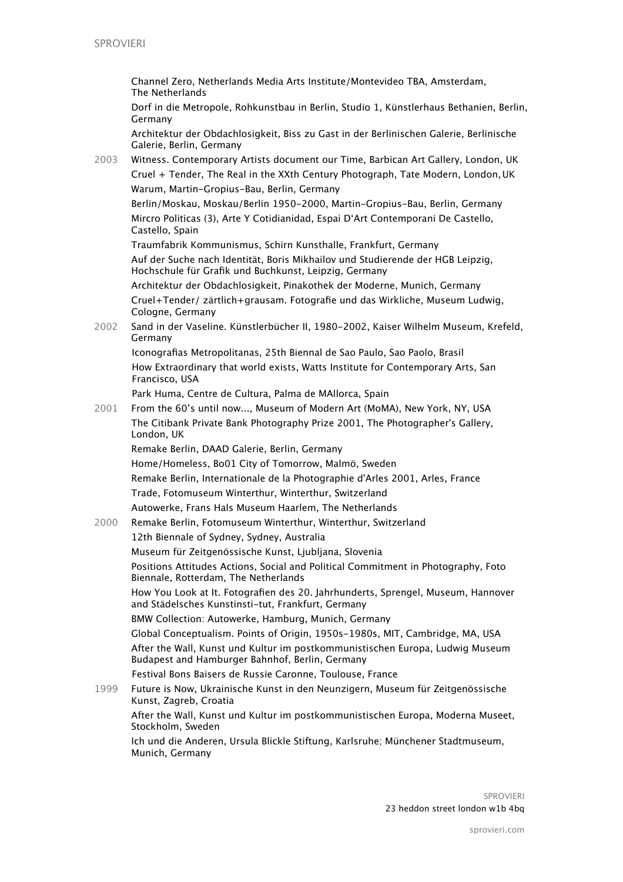Channel Zero, Netherlands Media Arts Institute/Montevideo TBA, Amsterdam, The Netherlands

Dorf in die Metropole, Rohkunstbau in Berlin, Studio 1, Künstlerhaus Bethanien, Berlin, Germany

Architektur der Obdachlosigkeit, Biss zu Gast in der Berlinischen Galerie, Berlinische Galerie, Berlin, Germany

2003 Witness. Contemporary Artists document our Time, Barbican Art Gallery, London, UK Cruel + Tender, The Real in the XXth Century Photograph, Tate Modern, London,UK Warum, Martin-Gropius-Bau, Berlin, Germany

Berlin/Moskau, Moskau/Berlin 1950-2000, Martin-Gropius-Bau, Berlin, Germany Mircro Politicas (3), Arte Y Cotidianidad, Espai D'Art Contemporani De Castello, Castello, Spain

Traumfabrik Kommunismus, Schirn Kunsthalle, Frankfurt, Germany

Auf der Suche nach Identität, Boris Mikhailov und Studierende der HGB Leipzig, Hochschule für Grafik und Buchkunst, Leipzig, Germany

Architektur der Obdachlosigkeit, Pinakothek der Moderne, Munich, Germany Cruel+Tender/ zärtlich+grausam. Fotografie und das Wirkliche, Museum Ludwig, Cologne, Germany

2002 Sand in der Vaseline. Künstlerbücher II, 1980-2002, Kaiser Wilhelm Museum, Krefeld, Germany

Iconografias Metropolitanas, 25th Biennal de Sao Paulo, Sao Paolo, Brasil How Extraordinary that world exists, Watts Institute for Contemporary Arts, San Francisco, USA

Park Huma, Centre de Cultura, Palma de MAllorca, Spain

2001 From the 60's until now..., Museum of Modern Art (MoMA), New York, NY, USA The Citibank Private Bank Photography Prize 2001, The Photographer's Gallery, London, UK

Remake Berlin, DAAD Galerie, Berlin, Germany

Home/Homeless, Bo01 City of Tomorrow, Malmö, Sweden Remake Berlin, Internationale de la Photographie d'Arles 2001, Arles, France Trade, Fotomuseum Winterthur, Winterthur, Switzerland Autowerke, Frans Hals Museum Haarlem, The Netherlands

2000 Remake Berlin, Fotomuseum Winterthur, Winterthur, Switzerland 12th Biennale of Sydney, Sydney, Australia Museum für Zeitgenössische Kunst, Ljubljana, Slovenia Positions Attitudes Actions, Social and Political Commitment in Photography, Foto Biennale, Rotterdam, The Netherlands How You Look at It. Fotografien des 20. Jahrhunderts, Sprengel, Museum, Hannover and Städelsches Kunstinsti-tut, Frankfurt, Germany BMW Collection: Autowerke, Hamburg, Munich, Germany Global Conceptualism. Points of Origin, 1950s-1980s, MIT, Cambridge, MA, USA After the Wall, Kunst und Kultur im postkommunistischen Europa, Ludwig Museum Budapest and Hamburger Bahnhof, Berlin, Germany Festival Bons Baisers de Russie Caronne, Toulouse, France 1999 Future is Now, Ukrainische Kunst in den Neunzigern, Museum für Zeitgenössische Kunst, Zagreb, Croatia After the Wall, Kunst und Kultur im postkommunistischen Europa, Moderna Museet, Stockholm, Sweden

Ich und die Anderen, Ursula Blickle Stiftung, Karlsruhe; Münchener Stadtmuseum, Munich, Germany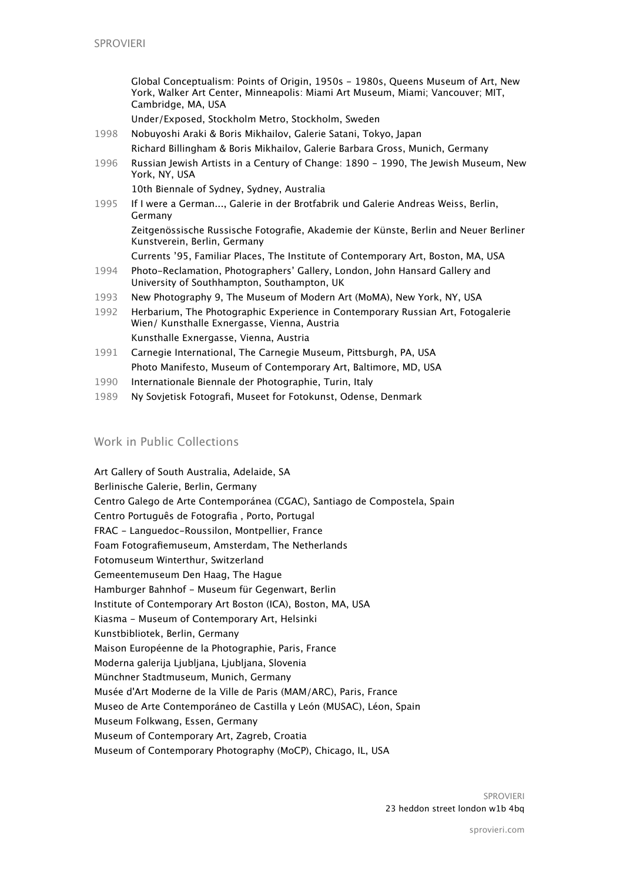Global Conceptualism: Points of Origin, 1950s - 1980s, Queens Museum of Art, New York, Walker Art Center, Minneapolis: Miami Art Museum, Miami; Vancouver; MIT, Cambridge, MA, USA

Under/Exposed, Stockholm Metro, Stockholm, Sweden

- 1998 Nobuyoshi Araki & Boris Mikhailov, Galerie Satani, Tokyo, Japan Richard Billingham & Boris Mikhailov, Galerie Barbara Gross, Munich, Germany
- 1996 Russian Jewish Artists in a Century of Change: 1890 1990, The Jewish Museum, New York, NY, USA

10th Biennale of Sydney, Sydney, Australia

1995 If I were a German..., Galerie in der Brotfabrik und Galerie Andreas Weiss, Berlin, Germany Zeitgenössische Russische Fotografie, Akademie der Künste, Berlin and Neuer Berliner Kunstverein, Berlin, Germany

Currents '95, Familiar Places, The Institute of Contemporary Art, Boston, MA, USA

- 1994 Photo-Reclamation, Photographers' Gallery, London, John Hansard Gallery and University of Southhampton, Southampton, UK
- 1993 New Photography 9, The Museum of Modern Art (MoMA), New York, NY, USA
- 1992 Herbarium, The Photographic Experience in Contemporary Russian Art, Fotogalerie Wien/ Kunsthalle Exnergasse, Vienna, Austria Kunsthalle Exnergasse, Vienna, Austria
- 1991 Carnegie International, The Carnegie Museum, Pittsburgh, PA, USA Photo Manifesto, Museum of Contemporary Art, Baltimore, MD, USA
- 1990 Internationale Biennale der Photographie, Turin, Italy
- 1989 Ny Sovjetisk Fotografi, Museet for Fotokunst, Odense, Denmark

# Work in Public Collections

Art Gallery of South Australia, Adelaide, SA Berlinische Galerie, Berlin, Germany Centro Galego de Arte Contemporánea (CGAC), Santiago de Compostela, Spain Centro Português de Fotografia , Porto, Portugal FRAC - Languedoc-Roussilon, Montpellier, France Foam Fotografiemuseum, Amsterdam, The Netherlands Fotomuseum Winterthur, Switzerland Gemeentemuseum Den Haag, The Hague Hamburger Bahnhof - Museum für Gegenwart, Berlin Institute of Contemporary Art Boston (ICA), Boston, MA, USA Kiasma - Museum of Contemporary Art, Helsinki Kunstbibliotek, Berlin, Germany Maison Européenne de la Photographie, Paris, France Moderna galerija Ljubljana, Ljubljana, Slovenia Münchner Stadtmuseum, Munich, Germany Musée d'Art Moderne de la Ville de Paris (MAM/ARC), Paris, France Museo de Arte Contemporáneo de Castilla y León (MUSAC), Léon, Spain Museum Folkwang, Essen, Germany Museum of Contemporary Art, Zagreb, Croatia Museum of Contemporary Photography (MoCP), Chicago, IL, USA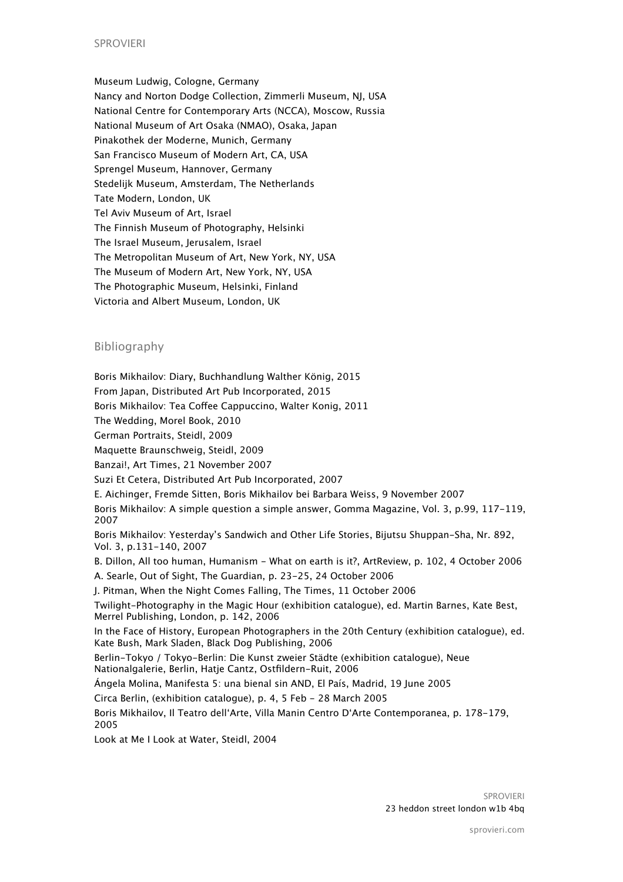#### SPROVIERI

Museum Ludwig, Cologne, Germany Nancy and Norton Dodge Collection, Zimmerli Museum, NJ, USA National Centre for Contemporary Arts (NCCA), Moscow, Russia National Museum of Art Osaka (NMAO), Osaka, Japan Pinakothek der Moderne, Munich, Germany San Francisco Museum of Modern Art, CA, USA Sprengel Museum, Hannover, Germany Stedelijk Museum, Amsterdam, The Netherlands Tate Modern, London, UK Tel Aviv Museum of Art, Israel The Finnish Museum of Photography, Helsinki [The Israel Museum](http://www.artfacts.net/membership), Jerusalem, Israel The Metropolitan Museum of Art, New York, NY, USA The Museum of Modern Art, New York, NY, USA The Photographic Museum, Helsinki, Finland Victoria and Albert Museum, London, UK

#### Bibliography

Boris Mikhailov: Diary, Buchhandlung Walther König, 2015 From Japan, Distributed Art Pub Incorporated, 2015 Boris Mikhailov: Tea Cofee Cappuccino, Walter Konig, 2011 The Wedding, Morel Book, 2010 German Portraits, Steidl, 2009 Maquette Braunschweig, Steidl, 2009 Banzai!, Art Times, 21 November 2007 Suzi Et Cetera, Distributed Art Pub Incorporated, 2007 E. Aichinger, Fremde Sitten, Boris Mikhailov bei Barbara Weiss, 9 November 2007 Boris Mikhailov: A simple question a simple answer, Gomma Magazine, Vol. 3, p.99, 117-119, 2007 Boris Mikhailov: Yesterday's Sandwich and Other Life Stories, Bijutsu Shuppan-Sha, Nr. 892, Vol. 3, p.131-140, 2007 B. Dillon, All too human, Humanism - What on earth is it?, ArtReview, p. 102, 4 October 2006 A. Searle, Out of Sight, The Guardian, p. 23-25, 24 October 2006 J. Pitman, When the Night Comes Falling, The Times, 11 October 2006 Twilight-Photography in the Magic Hour (exhibition catalogue), ed. Martin Barnes, Kate Best, Merrel Publishing, London, p. 142, 2006 In the Face of History, European Photographers in the 20th Century (exhibition catalogue), ed. Kate Bush, Mark Sladen, Black Dog Publishing, 2006 Berlin-Tokyo / Tokyo-Berlin: Die Kunst zweier Städte (exhibition catalogue), Neue Nationalgalerie, Berlin, Hatje Cantz, Ostfildern-Ruit, 2006 Ángela Molina, Manifesta 5: una bienal sin AND, El País, Madrid, 19 June 2005 Circa Berlin, (exhibition catalogue), p. 4, 5 Feb - 28 March 2005 Boris Mikhailov, Il Teatro dell'Arte, Villa Manin Centro D'Arte Contemporanea, p. 178-179, 2005 Look at Me I Look at Water, Steidl, 2004